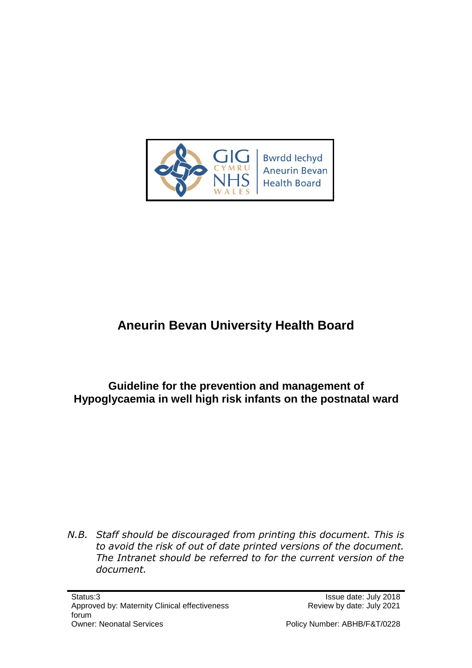

# **Aneurin Bevan University Health Board**

**Guideline for the prevention and management of Hypoglycaemia in well high risk infants on the postnatal ward**

*N.B. Staff should be discouraged from printing this document. This is to avoid the risk of out of date printed versions of the document. The Intranet should be referred to for the current version of the document.*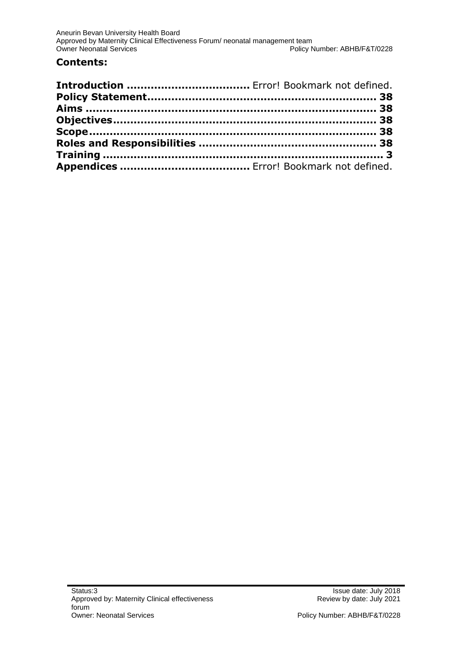#### **Contents:**

Policy Number: ABHB/F&T/0228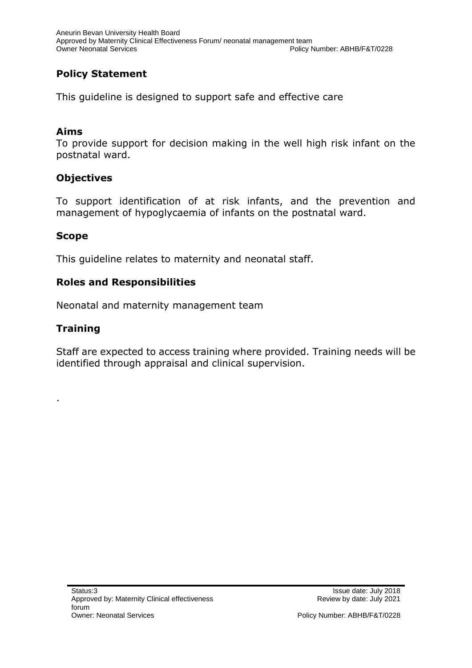## <span id="page-2-0"></span>**Policy Statement**

This guideline is designed to support safe and effective care

#### <span id="page-2-1"></span>**Aims**

To provide support for decision making in the well high risk infant on the postnatal ward.

### <span id="page-2-2"></span>**Objectives**

To support identification of at risk infants, and the prevention and management of hypoglycaemia of infants on the postnatal ward.

#### <span id="page-2-3"></span>**Scope**

This guideline relates to maternity and neonatal staff.

#### <span id="page-2-4"></span>**Roles and Responsibilities**

Neonatal and maternity management team

#### <span id="page-2-5"></span>**Training**

.

Staff are expected to access training where provided. Training needs will be identified through appraisal and clinical supervision.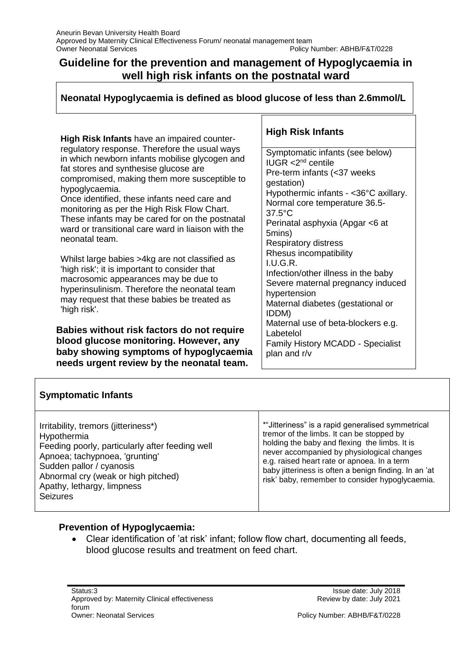## **Guideline for the prevention and management of Hypoglycaemia in well high risk infants on the postnatal ward**

**Neonatal Hypoglycaemia is defined as blood glucose of less than 2.6mmol/L**

**High Risk Infants** have an impaired counterregulatory response. Therefore the usual ways in which newborn infants mobilise glycogen and fat stores and synthesise glucose are compromised, making them more susceptible to hypoglycaemia.

Once identified, these infants need care and monitoring as per the High Risk Flow Chart. These infants may be cared for on the postnatal ward or transitional care ward in liaison with the neonatal team.

Whilst large babies >4kg are not classified as 'high risk'; it is important to consider that macrosomic appearances may be due to hyperinsulinism. Therefore the neonatal team may request that these babies be treated as 'high risk'.

**Babies without risk factors do not require blood glucose monitoring. However, any baby showing symptoms of hypoglycaemia needs urgent review by the neonatal team.**

#### **High Risk Infants**

Symptomatic infants (see below) IUGR  $<$ 2<sup>nd</sup> centile Pre-term infants (<37 weeks gestation) Hypothermic infants - <36°C axillary. Normal core temperature 36.5- 37.5°C Perinatal asphyxia (Apgar <6 at 5mins) Respiratory distress Rhesus incompatibility I.U.G.R. Infection/other illness in the baby Severe maternal pregnancy induced hypertension Maternal diabetes (gestational or IDDM) Maternal use of beta-blockers e.g. Labetelol Family History MCADD - Specialist plan and r/v

|  |  | <b>Symptomatic Infants</b> |  |
|--|--|----------------------------|--|
|  |  |                            |  |

### **Prevention of Hypoglycaemia:**

 Clear identification of 'at risk' infant; follow flow chart, documenting all feeds, blood glucose results and treatment on feed chart.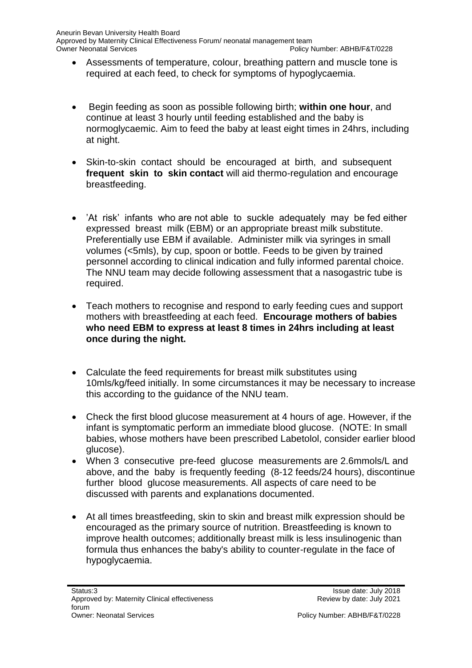- Assessments of temperature, colour, breathing pattern and muscle tone is required at each feed, to check for symptoms of hypoglycaemia.
- Begin feeding as soon as possible following birth; **within one hour**, and continue at least 3 hourly until feeding established and the baby is normoglycaemic. Aim to feed the baby at least eight times in 24hrs, including at night.
- Skin-to-skin contact should be encouraged at birth, and subsequent **frequent skin to skin contact** will aid thermo-regulation and encourage breastfeeding.
- 'At risk' infants who are not able to suckle adequately may be fed either expressed breast milk (EBM) or an appropriate breast milk substitute. Preferentially use EBM if available. Administer milk via syringes in small volumes (<5mls), by cup, spoon or bottle. Feeds to be given by trained personnel according to clinical indication and fully informed parental choice. The NNU team may decide following assessment that a nasogastric tube is required.
- Teach mothers to recognise and respond to early feeding cues and support mothers with breastfeeding at each feed. **Encourage mothers of babies who need EBM to express at least 8 times in 24hrs including at least once during the night.**
- Calculate the feed requirements for breast milk substitutes using 10mls/kg/feed initially. In some circumstances it may be necessary to increase this according to the guidance of the NNU team.
- Check the first blood glucose measurement at 4 hours of age. However, if the infant is symptomatic perform an immediate blood glucose. (NOTE: In small babies, whose mothers have been prescribed Labetolol, consider earlier blood glucose).
- When 3 consecutive pre-feed glucose measurements are 2.6mmols/L and above, and the baby is frequently feeding (8-12 feeds/24 hours), discontinue further blood glucose measurements. All aspects of care need to be discussed with parents and explanations documented.
- At all times breastfeeding, skin to skin and breast milk expression should be encouraged as the primary source of nutrition. Breastfeeding is known to improve health outcomes; additionally breast milk is less insulinogenic than formula thus enhances the baby's ability to counter-regulate in the face of hypoglycaemia.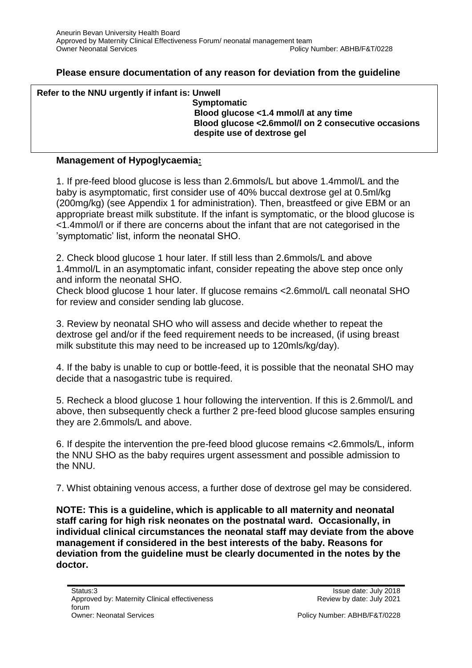#### **Please ensure documentation of any reason for deviation from the guideline**

| Refer to the NNU urgently if infant is: Unwell |                                                     |
|------------------------------------------------|-----------------------------------------------------|
|                                                | <b>Symptomatic</b>                                  |
|                                                | Blood glucose <1.4 mmol/l at any time               |
|                                                | Blood glucose <2.6mmol/l on 2 consecutive occasions |
|                                                | despite use of dextrose gel                         |
|                                                |                                                     |

#### **Management of Hypoglycaemia:**

1. If pre-feed blood glucose is less than 2.6mmols/L but above 1.4mmol/L and the baby is asymptomatic, first consider use of 40% buccal dextrose gel at 0.5ml/kg (200mg/kg) (see Appendix 1 for administration). Then, breastfeed or give EBM or an appropriate breast milk substitute. If the infant is symptomatic, or the blood glucose is <1.4mmol/l or if there are concerns about the infant that are not categorised in the 'symptomatic' list, inform the neonatal SHO.

2. Check blood glucose 1 hour later. If still less than 2.6mmols/L and above 1.4mmol/L in an asymptomatic infant, consider repeating the above step once only and inform the neonatal SHO.

Check blood glucose 1 hour later. If glucose remains <2.6mmol/L call neonatal SHO for review and consider sending lab glucose.

3. Review by neonatal SHO who will assess and decide whether to repeat the dextrose gel and/or if the feed requirement needs to be increased, (if using breast milk substitute this may need to be increased up to 120mls/kg/day).

4. If the baby is unable to cup or bottle-feed, it is possible that the neonatal SHO may decide that a nasogastric tube is required.

5. Recheck a blood glucose 1 hour following the intervention. If this is 2.6mmol/L and above, then subsequently check a further 2 pre-feed blood glucose samples ensuring they are 2.6mmols/L and above.

6. If despite the intervention the pre-feed blood glucose remains <2.6mmols/L, inform the NNU SHO as the baby requires urgent assessment and possible admission to the NNU.

7. Whist obtaining venous access, a further dose of dextrose gel may be considered.

**NOTE: This is a guideline, which is applicable to all maternity and neonatal staff caring for high risk neonates on the postnatal ward. Occasionally, in individual clinical circumstances the neonatal staff may deviate from the above management if considered in the best interests of the baby. Reasons for deviation from the guideline must be clearly documented in the notes by the doctor.**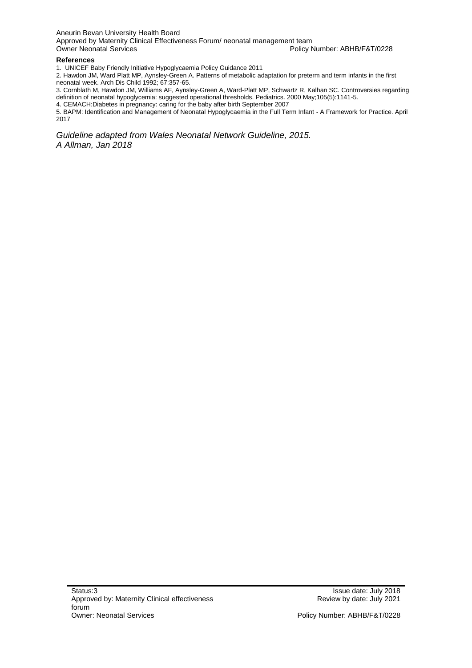Aneurin Bevan University Health Board Approved by Maternity Clinical Effectiveness Forum/ neonatal management team<br>Owner Neonatal Services Policy Number: ABHB/F&T/0228

#### **References**

1. UNICEF Baby Friendly Initiative Hypoglycaemia Policy Guidance 2011

2. Hawdon JM, Ward Platt MP, Aynsley-Green A. Patterns of metabolic adaptation for preterm and term infants in the first neonatal week. Arch Dis Child 1992; 67:357-65.

3. Cornblath M, Hawdon JM, Williams AF, Aynsley-Green A, Ward-Platt MP, Schwartz R, Kalhan SC. Controversies regarding definition of neonatal hypoglycemia: suggested operational thresholds. Pediatrics. 2000 May;105(5):1141-5.

4. CEMACH:Diabetes in pregnancy: caring for the baby after birth September 2007

5. BAPM: Identification and Management of Neonatal Hypoglycaemia in the Full Term Infant - A Framework for Practice. April 2017

*Guideline adapted from Wales Neonatal Network Guideline, 2015. A Allman, Jan 2018*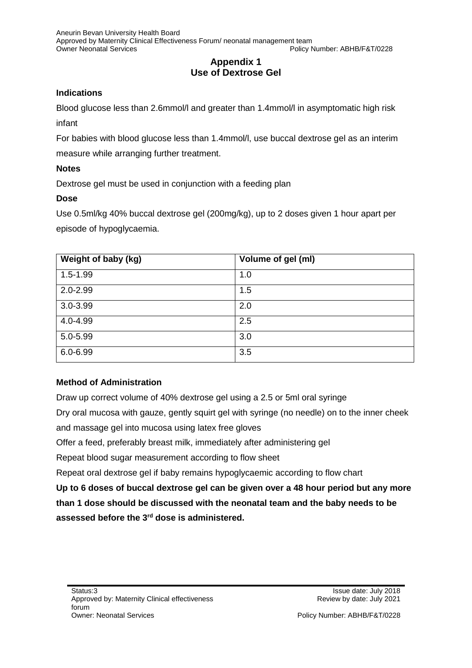### **Appendix 1 Use of Dextrose Gel**

#### **Indications**

Blood glucose less than 2.6mmol/l and greater than 1.4mmol/l in asymptomatic high risk infant

For babies with blood glucose less than 1.4mmol/l, use buccal dextrose gel as an interim measure while arranging further treatment.

#### **Notes**

Dextrose gel must be used in conjunction with a feeding plan

#### **Dose**

Use 0.5ml/kg 40% buccal dextrose gel (200mg/kg), up to 2 doses given 1 hour apart per episode of hypoglycaemia.

| Weight of baby (kg) | Volume of gel (ml) |
|---------------------|--------------------|
| $1.5 - 1.99$        | 1.0                |
| $2.0 - 2.99$        | 1.5                |
| $3.0 - 3.99$        | 2.0                |
| 4.0-4.99            | 2.5                |
| $5.0 - 5.99$        | 3.0                |
| $6.0 - 6.99$        | 3.5                |

#### **Method of Administration**

Draw up correct volume of 40% dextrose gel using a 2.5 or 5ml oral syringe Dry oral mucosa with gauze, gently squirt gel with syringe (no needle) on to the inner cheek and massage gel into mucosa using latex free gloves Offer a feed, preferably breast milk, immediately after administering gel Repeat blood sugar measurement according to flow sheet Repeat oral dextrose gel if baby remains hypoglycaemic according to flow chart **Up to 6 doses of buccal dextrose gel can be given over a 48 hour period but any more than 1 dose should be discussed with the neonatal team and the baby needs to be assessed before the 3rd dose is administered.**